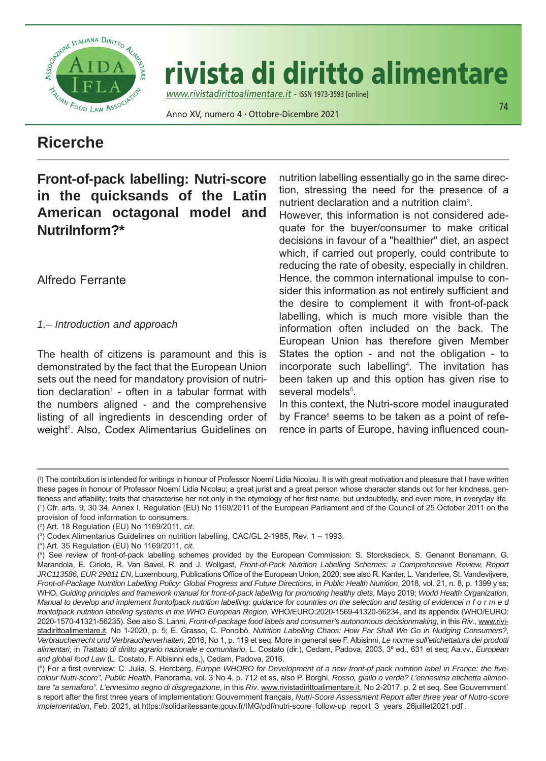

*www.rivistadirittoalimentare.it -* ISSN 1973-3593 [online]

Anno XV, numero 4 • Ottobre-Dicembre 2021

## **Ricerche**

## **Front-of-pack labelling: Nutri-score in the quicksands of the Latin American octagonal model and NutriInform?\***

Alfredo Ferrante

*1.– Introduction and approach*

The health of citizens is paramount and this is demonstrated by the fact that the European Union sets out the need for mandatory provision of nutrition declaration<sup> $1$ </sup> - often in a tabular format with the numbers aligned - and the comprehensive listing of all ingredients in descending order of weight<sup>2</sup>. Also, Codex Alimentarius Guidelines on

nutrition labelling essentially go in the same direction, stressing the need for the presence of a nutrient declaration and a nutrition claim<sup>3</sup>.

However, this information is not considered adequate for the buyer/consumer to make critical decisions in favour of a "healthier" diet, an aspect which, if carried out properly, could contribute to reducing the rate of obesity, especially in children. Hence, the common international impulse to consider this information as not entirely sufficient and the desire to complement it with front-of-pack labelling, which is much more visible than the information often included on the back. The European Union has therefore given Member States the option - and not the obligation - to incorporate such labelling<sup>4</sup>. The invitation has been taken up and this option has given rise to several models<sup>5</sup>.

In this context, the Nutri-score model inaugurated by France<sup>6</sup> seems to be taken as a point of reference in parts of Europe, having influenced coun-

( ] ) The contribution is intended for writings in honour of Professor Noemí Lidia Nicolau. It is with great motivation and pleasure that I have written these pages in honour of Professor Noemí Lidia Nicolau; a great jurist and a great person whose character stands out for her kindness, gentleness and affability; traits that characterise her not only in the etymology of her first name, but undoubtedly, and even more, in everyday life ( 1 ) Cfr. arts. 9, 30 34, Annex I, Regulation (EU) No 1169/2011 of the European Parliament and of the Council of 25 October 2011 on the provision of food information to consumers.

<sup>(</sup> 2 ) Art. 18 Regulation (EU) No 1169/2011, *cit*.

<sup>(</sup> 3 ) Codex Alimentarius guidelines on nutrition labelling, CAC/gL 2-1985, Rev. 1 – 1993.

<sup>(</sup> 4 ) Art. 35 Regulation (EU) No 1169/2011, *cit*.

<sup>(</sup> 5 ) See review of front-of-pack labelling schemes provided by the European Commission: S. Storcksdieck, S. genannt Bonsmann, g. Marandola, E. Ciriolo, R. van Bavel, R. and j. Wollgast, *Front-of-Pack Nutrition Labelling Schemes: a Comprehensive Review, Report JRC113586, EUR 29811 EN*, Luxembourg, Publications Office of the European Union, 2020; see also R. Kanter, L. vanderlee, St. vandevijvere, *Front-of-Package Nutrition Labelling Policy: Global Progress and Future Directions*, in *Public Health Nutrition*, 2018, vol. 21, n. 8, p. 1399 y ss; WHO, *Guiding principles and framework manual for front-of-pack labelling for promoting healthy diets*, Mayo 2019; *World Health Organization, Manual to develop and implement frontofpack nutrition labelling: guidance for countries on the selection and testing of evidencei n f o r m e d frontofpack nutrition labelling systems in the WHO European Region*, WHO/EURO:2020-1569-41320-56234, and its appendix (WHO/EURO: 2020-1570-41321-56235). See also S. Lanni, *Front-of-package food labels and consumer's autonomous decisionmaking*, in this *Riv*., www.rivistadirittoalimentare.it, No 1-2020, p. 5; E. grasso, C. Poncibò, *Nutrition Labelling Chaos: How Far Shall We Go in Nudging Consumers?, Verbraucherrecht und Verbraucherverhalten*, 2016, No 1, p. 119 et seq. More in general see F. Albisinni, *Le norme sull'etichettatura dei prodotti alimentari,* in *Trattato di diritto agrario nazionale e comunitario*, L. Costato (dir.), Cedam, Padova, 2003, 3º ed., 631 et seq; Aa.vv., *European and global food Law* (L. Costato, F. Albisinni eds,), Cedam, Padova, 2016.

<sup>(</sup> 6 ) For a first overview: C. julia, S. Hercberg, *Europe WHORO for Development of a new front-of pack nutrition label in France: the fivecolour Nutri-score", Public Health*, Panorama, vol. 3 No 4, p. 712 et ss, also P. Borghi, *Rosso, giallo o verde? L'ennesima etichetta alimentare "a semaforo". L'ennesimo segno di disgregazione*, in this *Riv*. www.rivistadirittoalimentare.it, No 2-2017, p. 2 et seq. See gouvernment` s report after the first three years of implementation: gouvernment français, *Nutri-Score Assessment Report after three year of Nutro-score implementation*, Feb. 2021, at https://solidaritessante.gouv.fr/IMg/pdf/nutri-score\_follow-up\_report\_3\_years\_26juillet2021.pdf .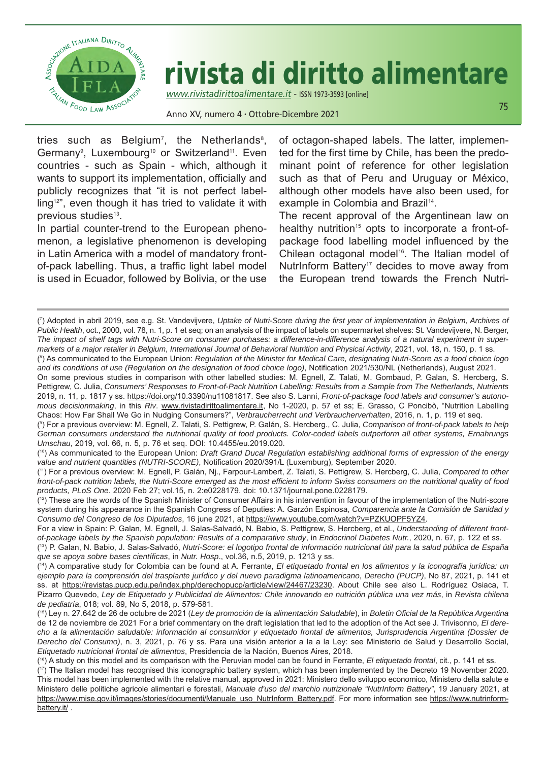

Anno XV, numero 4 • Ottobre-Dicembre 2021

75

tries such as Belgium $^7$ , the Netherlands $^8$ , Germany<sup>9</sup>, Luxembourg<sup>10</sup> or Switzerland<sup>11</sup>. Even countries - such as Spain - which, although it wants to support its implementation, officially and publicly recognizes that "it is not perfect labelling<sup>12"</sup>, even though it has tried to validate it with previous studies<sup>13</sup>.

In partial counter-trend to the European phenomenon, a legislative phenomenon is developing in Latin America with a model of mandatory frontof-pack labelling. Thus, a traffic light label model is used in Ecuador, followed by Bolivia, or the use of octagon-shaped labels. The latter, implemented for the first time by Chile, has been the predominant point of reference for other legislation such as that of Peru and Uruguay or México, although other models have also been used, for example in Colombia and Brazil<sup>14</sup>.

The recent approval of the Argentinean law on healthy nutrition<sup>15</sup> opts to incorporate a front-ofpackage food labelling model influenced by the Chilean octagonal model<sup>16</sup>. The Italian model of NutrInform Battery<sup>17</sup> decides to move away from the European trend towards the French Nutri-

( 7 ) Adopted in abril 2019, see e.g. St. vandevijvere, *Uptake of Nutri-Score during the first year of implementation in Belgium, Archives of Public Health*, oct., 2000, vol. 78, n. 1, p. 1 et seq; on an analysis of the impact of labels on supermarket shelves: St. vandevijvere, N. Berger, *The impact of shelf tags with Nutri-Score on consumer purchases: a difference-in-difference analysis of a natural experiment in supermarkets of a major retailer in Belgium*, *International Journal of Behavioral Nutrition and Physical Activity*, 2021, vol. 18, n. 150, p. 1 ss.

( 8 ) As communicated to the European Union: *Regulation of the Minister for Medical Care, designating Nutri-Score as a food choice logo and its conditions of use (Regulation on the designation of food choice logo)*, Notification 2021/530/NL (Netherlands), August 2021.

On some previous studies in comparison with other labelled studies: M. Egnell, Z. Talati, M. gombaud, P. galan, S. Hercberg, S. Pettigrew, C. julia, *Consumers' Responses to Front-of-Pack Nutrition Labelling: Results from a Sample from The Netherlands, Nutrients* 2019, n. 11, p. 1817 y ss. https://doi.org/10.3390/nu11081817. See also S. Lanni, *Front-of-package food labels and consumer's autonomous decisionmaking*, in this *Riv*. www.rivistadirittoalimentare.it, No 1-2020, p. 57 et ss; E. grasso, C Poncibò, "Nutrition Labelling Chaos: How Far Shall We go in Nudging Consumers?", *Verbraucherrecht und Verbraucherverhalten*, 2016, n. 1, p. 119 et seq.

( 9 ) For a previous overview: M. Egnell, Z. Talati, S. Pettigrew, P. galán, S. Hercberg., C. julia, *Comparison of front-of-pack labels to help German consumers understand the nutritional quality of food products. Color-coded labels outperform all other systems, Ernahrungs Umschau*, 2019, vol. 66, n. 5, p. 76 et seq. DOI: 10.4455/eu.2019.020.

( 10) As communicated to the European Union: *Draft Grand Ducal Regulation establishing additional forms of expression of the energy value and nutrient quantities (NUTRI-SCORE)*, Notification 2020/391/L (Luxemburg), September 2020.

( 11) For a previous overview: M. Egnell, P. galán, Nj., Farpour-Lambert, Z. Talati, S. Pettigrew, S. Hercberg, C. julia, *Compared to other front-of-pack nutrition labels, the Nutri-Score emerged as the most efficient to inform Swiss consumers on the nutritional quality of food products, PLoS One*. 2020 Feb 27; vol.15, n. 2:e0228179. doi: 10.1371/journal.pone.0228179.

 $( ^{12})$  These are the words of the Spanish Minister of Consumer Affairs in his intervention in favour of the implementation of the Nutri-score system during his appearance in the Spanish Congress of Deputies: A. garzón Espinosa, *Comparencia ante la Comisión de Sanidad y Consumo del Congreso de los Diputados*, 16 june 2021, at https://www.youtube.com/watch?v=PZKUOPF5YZ4.

For a view in Spain: P. galan, M. Egnell, j. Salas-Salvadó, N. Babio, S. Pettigrew, S. Hercberg, et al., *Understanding of different frontof-package labels by the Spanish population: Results of a comparative study*, in *Endocrinol Diabetes Nutr.*, 2020, n. 67, p. 122 et ss.

( 13) P. galan, N. Babio, j. Salas-Salvadó, *Nutri-Score: el logotipo frontal de información nutricional útil para la salud pública de España que se apoya sobre bases científicas*, in *Nutr. Hosp*., vol.36, n.5, 2019, p. 1213 y ss.

( 14) A comparative study for Colombia can be found at A. Ferrante, *El etiquetado frontal en los alimentos y la iconografía jurídica: un ejemplo para la comprensión del trasplante jurídico y del nuevo paradigma latinoamericano*, *Derecho (PUCP)*, No 87, 2021, p. 141 et ss. at https://revistas.pucp.edu.pe/index.php/derechopucp/article/view/24467/23230</u>. About Chile see also L. Rodríguez Osiaca, T. Pizarro quevedo, *Ley de Etiquetado y Publicidad de Alimentos: Chile innovando en nutrición pública una vez más*, in *Revista chilena de pediatría*, 018; vol. 89, No 5, 2018, p. 579-581.

( 15) Ley n. 27.642 de 26 de octubre de 2021 (*Ley de promoción de la alimentación Saludable*), in *Boletin Oficial de la República Argentina* de 12 de noviembre de 2021 For a brief commentary on the draft legislation that led to the adoption of the Act see j. Trivisonno, *El derecho a la alimentación saludable: información al consumidor y etiquetado frontal de alimentos, Jurisprudencia Argentina (Dossier de Derecho del Consumo)*, n. 3, 2021, p. 76 y ss. Para una visión anterior a la a la Ley: see Ministerio de Salud y Desarrollo Social, *Etiquetado nutricional frontal de alimentos*, Presidencia de la Nación, Buenos Aires, 2018.

( 16) A study on this model and its comparison with the Peruvian model can be found in Ferrante, *El etiquetado frontal*, cit., p. 141 et ss.

( 17) The Italian model has recognised this iconographic battery system, which has been implemented by the Decreto 19 November 2020. This model has been implemented with the relative manual, approved in 2021: Ministero dello sviluppo economico, Ministero della salute e Ministero delle politiche agricole alimentari e forestali, Manuale d'uso del marchio nutrizionale "NutrInform Battery", 19 January 2021, at https://www.mise.gov.it/images/stories/documenti/Manuale\_uso\_NutrInform\_Battery.pdf. For more information see https://www.nutrinformbattery.it/.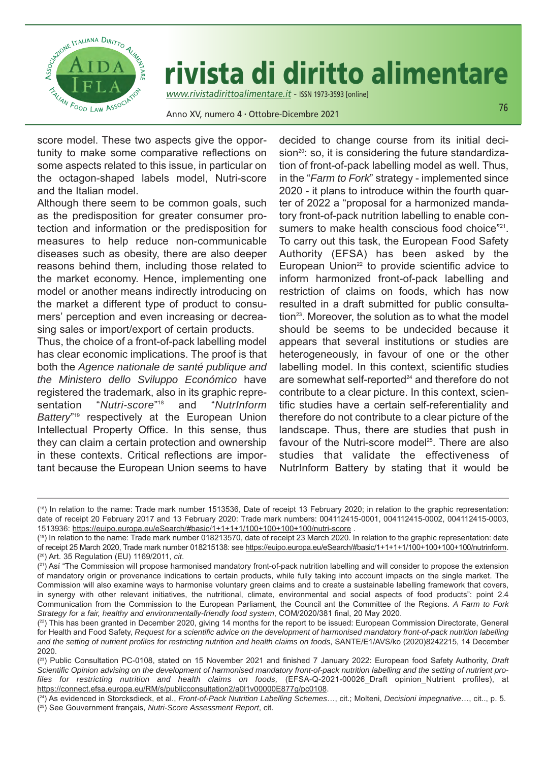

*www.rivistadirittoalimentare.it -* ISSN 1973-3593 [online]

Anno XV, numero 4 • Ottobre-Dicembre 2021

score model. These two aspects give the opportunity to make some comparative reflections on some aspects related to this issue, in particular on the octagon-shaped labels model, Nutri-score and the Italian model.

Although there seem to be common goals, such as the predisposition for greater consumer protection and information or the predisposition for measures to help reduce non-communicable diseases such as obesity, there are also deeper reasons behind them, including those related to the market economy. Hence, implementing one model or another means indirectly introducing on the market a different type of product to consumers' perception and even increasing or decreasing sales or import/export of certain products.

Thus, the choice of a front-of-pack labelling model has clear economic implications. The proof is that both the *Agence nationale de santé publique and the Ministero dello Sviluppo Económico* have registered the trademark, also in its graphic representation "*Nutri-score*" <sup>18</sup> and "*NutrInform* Battery"<sup>19</sup> respectively at the European Union Intellectual Property Office. In this sense, thus they can claim a certain protection and ownership in these contexts. Critical reflections are important because the European Union seems to have

decided to change course from its initial decision $^{20}$ : so, it is considering the future standardization of front-of-pack labelling model as well. Thus, in the "*Farm to Fork*" strategy - implemented since 2020 - it plans to introduce within the fourth quarter of 2022 a "proposal for a harmonized mandatory front-of-pack nutrition labelling to enable consumers to make health conscious food choice"<sup>21</sup>. To carry out this task, the European Food Safety Authority (EFSA) has been asked by the European Union<sup>22</sup> to provide scientific advice to inform harmonized front-of-pack labelling and restriction of claims on foods, which has now resulted in a draft submitted for public consultation $^{23}$ . Moreover, the solution as to what the model should be seems to be undecided because it appears that several institutions or studies are heterogeneously, in favour of one or the other labelling model. In this context, scientific studies are somewhat self-reported<sup>24</sup> and therefore do not contribute to a clear picture. In this context, scientific studies have a certain self-referentiality and therefore do not contribute to a clear picture of the landscape. Thus, there are studies that push in favour of the Nutri-score model<sup>25</sup>. There are also studies that validate the effectiveness of NutrInform Battery by stating that it would be

<sup>(</sup> 18) In relation to the name: Trade mark number 1513536, Date of receipt 13 February 2020; in relation to the graphic representation: date of receipt 20 February 2017 and 13 February 2020: Trade mark numbers: 004112415-0001, 004112415-0002, 004112415-0003, 1513936: https://euipo.europa.eu/eSearch/#basic/1+1+1+1/100+100+100+100/nutri-score .

<sup>(</sup> 19) In relation to the name: Trade mark number 018213570, date of receipt 23 March 2020. In relation to the graphic representation: date of receipt 25 March 2020, Trade mark number 018215138: see https://euipo.europa.eu/eSearch/#basic/1+1+1+1/100+100+100+100/nutrinform. ( 20) Art. 35 Regulation (EU) 1169/2011, *cit*.

<sup>(</sup> 21) Así "The Commission will propose harmonised mandatory front-of-pack nutrition labelling and will consider to propose the extension of mandatory origin or provenance indications to certain products, while fully taking into account impacts on the single market. The Commission will also examine ways to harmonise voluntary green claims and to create a sustainable labelling framework that covers, in synergy with other relevant initiatives, the nutritional, climate, environmental and social aspects of food products": point 2.4 Communication from the Commission to the European Parliament, the Council ant the Committee of the Regions. *A Farm to Fork Strategy for a fair, healthy and environmentally-friendly food system*, COM/2020/381 final, 20 May 2020.

 $( ^{22})$  This has been granted in December 2020, giving 14 months for the report to be issued: European Commission Directorate, General for Health and Food Safety, *Request for a scientific advice on the development of harmonised mandatory front-of-pack nutrition labelling and the setting of nutrient profiles for restricting nutrition and health claims on foods*, SANTE/E1/AvS/ko (2020)8242215, 14 December 2020.

<sup>(</sup> 23) Public Consultation PC-0108, stated on 15 November 2021 and finished 7 january 2022: European food Safety Authority, *Draft Scientific Opinion advising on the development of harmonised mandatory front-of-pack nutrition labelling and the setting of nutrient profiles for restricting nutrition and health claims on foods,* (EFSA-q-2021-00026\_Draft opinion\_Nutrient profiles), at https://connect.efsa.europa.eu/RM/s/publicconsultation2/a0l1v00000E877g/pc0108.

<sup>(</sup> 24) As evidenced in Storcksdieck, et al., *Front-of-Pack Nutrition Labelling Schemes*…, cit.; Molteni, *Decisioni impegnative*…, cit.., p. 5. ( 25) See gouvernment français, *Nutri-Score Assessment Report*, cit.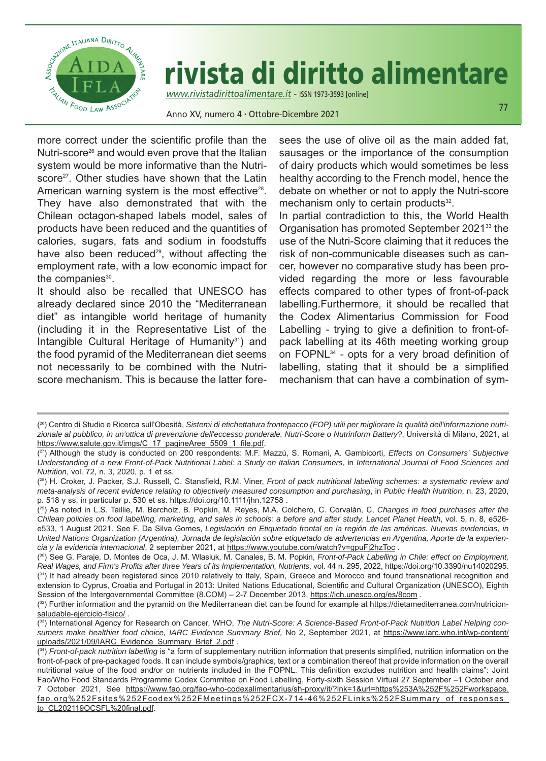

Anno XV, numero 4 • Ottobre-Dicembre 2021

77

more correct under the scientific profile than the Nutri-score<sup>26</sup> and would even prove that the Italian system would be more informative than the Nutriscore<sup>27</sup>. Other studies have shown that the Latin American warning system is the most effective<sup>28</sup>. They have also demonstrated that with the Chilean octagon-shaped labels model, sales of products have been reduced and the quantities of calories, sugars, fats and sodium in foodstuffs have also been reduced<sup>29</sup>, without affecting the employment rate, with a low economic impact for the companies $30$ .

It should also be recalled that UNESCO has already declared since 2010 the "Mediterranean diet" as intangible world heritage of humanity (including it in the Representative List of the Intangible Cultural Heritage of Humanity<sup>31</sup>) and the food pyramid of the Mediterranean diet seems not necessarily to be combined with the Nutriscore mechanism. This is because the latter foresees the use of olive oil as the main added fat, sausages or the importance of the consumption of dairy products which would sometimes be less healthy according to the French model, hence the debate on whether or not to apply the Nutri-score mechanism only to certain products<sup>32</sup>.

In partial contradiction to this, the World Health Organisation has promoted September 2021<sup>33</sup> the use of the Nutri-Score claiming that it reduces the risk of non-communicable diseases such as cancer, however no comparative study has been provided regarding the more or less favourable effects compared to other types of front-of-pack labelling.Furthermore, it should be recalled that the Codex Alimentarius Commission for Food Labelling - trying to give a definition to front-ofpack labelling at its 46th meeting working group on FOPNL34 - opts for a very broad definition of labelling, stating that it should be a simplified mechanism that can have a combination of sym-

<sup>(</sup> 26) Centro di Studio e Ricerca sull'Obesità, *Sistemi di etichettatura frontepacco (FOP) utili per migliorare la qualità dell'informazione nutrizionale al pubblico, in un'ottica di prevenzione dell'eccesso ponderale. Nutri-Score o Nutrinform Battery?*, Università di Milano, 2021, at https://www.salute.gov.it/imgs/C\_17\_pagineAree\_5509\_1\_file.pdf.

<sup>(</sup> 27) Although the study is conducted on 200 respondents: M.F. Mazzù, S. Romani, A. gambicorti, *Effects on Consumers' Subjective Understanding of a new Front-of-Pack Nutritional Label: a Study on Italian Consumers*, in *International Journal of Food Sciences and Nutrition*, vol. 72, n. 3, 2020, p. 1 et ss,

<sup>(</sup> 28) H. Croker, j. Packer, S.j. Russell, C. Stansfield, R.M. viner, *Front of pack nutritional labelling schemes: a systematic review and meta-analysis of recent evidence relating to objectively measured consumption and purchasing*, in *Public Health Nutrition*, n. 23, 2020, p. 518 y ss, in particular p. 530 et ss. https://doi.org/10.1111/jhn.12758.

<sup>(</sup> 29) As noted in L.S. Taillie, M. Bercholz, B. Popkin, M. Reyes, M.A. Colchero, C. Corvalán, C, *Changes in food purchases after the Chilean policies on food labelling, marketing, and sales in schools: a before and after study, Lancet Planet Health*, vol. 5, n. 8, e526 e533, 1 August 2021. See F. Da Silva gomes, *Legislación en Etiquetado frontal en la región de las américas. Nuevas evidencias, in United Nations Organization (Argentina), Jornada de legislación sobre etiquetado de advertencias en Argentina, Aporte de la experiencia y la evidencia internacional*, 2 september 2021, at https://www.youtube.com/watch?v=gpuFj2hzToc .

<sup>(</sup> 30) See g. Paraje, D. Montes de Oca, j. M. Wlasiuk, M. Canales, B. M. Popkin, *Front-of-Pack Labelling in Chile: effect on Employment, Real Wages, and Firm's Profits after three Years of its Implementation, Nutrients*, vol. 44 n. 295, 2022, https://doi.org/10.3390/nu14020295. ( 31) It had already been registered since 2010 relatively to Italy, Spain, greece and Morocco and found transnational recognition and extension to Cyprus, Croatia and Portugal in 2013: United Nations Educational, Scientific and Cultural Organization (UNESCO), Eighth Session of the Intergovernmental Committee (8.COM) – 2-7 December 2013, https://ich.unesco.org/es/8com .

<sup>(&</sup>lt;sup>32</sup>) Further information and the pyramid on the Mediterranean diet can be found for example at <u>https://dietamediterranea.com/nutricion-</u> saludable-ejercicio-fisico/ .

<sup>(</sup> 33) International Agency for Research on Cancer, WHO, *The Nutri-Score: A Science-Based Front-of-Pack Nutrition Label Helping consumers make healthier food choice, IARC Evidence Summary Brief,* No 2, September 2021, at https://www.iarc.who.int/wp-content/ uploads/2021/09/IARC\_Evidence\_Summary\_Brief\_2.pdf .

<sup>(</sup> 34) *Front-of-pack nutrition labelling* is "a form of supplementary nutrition information that presents simplified, nutrition information on the front-of-pack of pre-packaged foods. It can include symbols/graphics, text or a combination thereof that provide information on the overall nutritional value of the food and/or on nutrients included in the FOPNL. This definition excludes nutrition and health claims": joint Fao/Who Food Standards Programme Codex Commitee on Food Labelling, Forty-sixth Session virtual 27 September –1 October and 7 October 2021, See https://www.fao.org/fao-who-codexalimentarius/sh-proxy/it/?lnk=1&url=https%253A%252F%252Fworkspace. fao.org%252Fsites%252Fcodex%252FMeetings%252FCX-714-46%252FLinks%252FSummary\_of\_responses\_ to\_CL202119OCSFL%20final.pdf.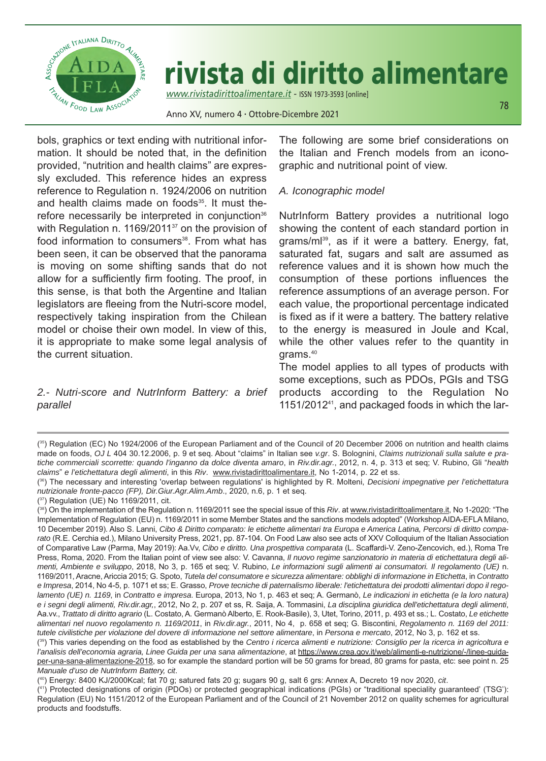

Anno XV, numero 4 • Ottobre-Dicembre 2021

78

bols, graphics or text ending with nutritional information. It should be noted that, in the definition provided, "nutrition and health claims" are expressly excluded. This reference hides an express reference to Regulation n. 1924/2006 on nutrition and health claims made on foods<sup>35</sup>. It must therefore necessarily be interpreted in conjunction<sup>36</sup> with Regulation n. 1169/2011<sup>37</sup> on the provision of food information to consumers<sup>38</sup>. From what has been seen, it can be observed that the panorama is moving on some shifting sands that do not allow for a sufficiently firm footing. The proof, in this sense, is that both the Argentine and Italian legislators are fleeing from the Nutri-score model, respectively taking inspiration from the Chilean model or choise their own model. In view of this, it is appropriate to make some legal analysis of the current situation.

*2.- Nutri-score and NutrInform Battery: a brief parallel*

The following are some brief considerations on the Italian and French models from an iconographic and nutritional point of view.

### *A. Iconographic model*

NutrInform Battery provides a nutritional logo showing the content of each standard portion in grams/ml<sup>39</sup>, as if it were a battery. Energy, fat, saturated fat, sugars and salt are assumed as reference values and it is shown how much the consumption of these portions influences the reference assumptions of an average person. For each value, the proportional percentage indicated is fixed as if it were a battery. The battery relative to the energy is measured in joule and Kcal, while the other values refer to the quantity in grams.40

The model applies to all types of products with some exceptions, such as PDOs, PGIs and TSG products according to the Regulation No 1151/201241, and packaged foods in which the lar-

( 40) Energy: 8400 Kj/2000Kcal; fat 70 g; satured fats 20 g; sugars 90 g, salt 6 grs: Annex A, Decreto 19 nov 2020, *cit*.

<sup>(</sup> 35) Regulation (EC) No 1924/2006 of the European Parliament and of the Council of 20 December 2006 on nutrition and health claims made on foods, *OJ L* 404 30.12.2006, p. 9 et seq. About "claims" in Italian see *v.gr*. S. Bolognini, *Claims nutrizionali sulla salute e pratiche commerciali scorrette: quando l'inganno da dolce diventa amaro*, in *Riv.dir.agr.*, 2012, n. 4, p. 313 et seq; v. Rubino, gli "*health claims*" *e l'etichettatura degli alimenti*, in this *Riv*. www.rivistadirittoalimentare.it, No 1-2014, p. 22 et ss.

<sup>(</sup> 36) The necessary and interesting 'overlap between regulations' is highlighted by R. Molteni, *Decisioni impegnative per l'etichettatura nutrizionale fronte-pacco (FP), Dir.Giur.Agr.Alim.Amb*., 2020, n.6, p. 1 et seq.

<sup>(</sup> 37) Regulation (UE) No 1169/2011, cit.

<sup>(</sup> 38) On the implementation of the Regulation n. 1169/2011 see the special issue of this *Riv*. at www.rivistadirittoalimentare.it, No 1-2020: "The Implementation of Regulation (EU) n. 1169/2011 in some Member States and the sanctions models adopted" (Workshop AIDA-EFLA Milano, 10 December 2019). Also S. Lanni, *Cibo & Diritto comparato: le etichette alimentari tra Europa e America Latina, Percorsi di diritto comparato* (R.E. Cerchia ed.), Milano University Press, 2021, pp. 87-104. On Food Law also see acts of XXv Colloquium of the Italian Association of Comparative Law (Parma, May 2019): Aa.vv, *Cibo e diritto. Una prospettiva comparata* (L. Scaffardi-v. Zeno-Zencovich, ed.), Roma Tre Press, Roma, 2020. From the Italian point of view see also: V. Cavanna, *Il nuovo regime sanzionatorio in materia di etichettatura degli alimenti, Ambiente e sviluppo*, 2018, No 3, p. 165 et seq; v. Rubino, *Le informazioni sugli alimenti ai consumatori. Il regolamento (UE)* n. 1169/2011, Aracne, Ariccia 2015; g. Spoto, *Tutela del consumatore e sicurezza alimentare: obblighi di informazione in Etichetta*, in *Contratto e Impresa*, 2014, No 4-5, p. 1071 et ss; E. grasso, *Prove tecniche di paternalismo liberale: l'etichettatura dei prodotti alimentari dopo il regolamento (UE) n. 1169*, in *Contratto e impresa*. Europa, 2013, No 1, p. 463 et seq; A. germanò, *Le indicazioni in etichetta (e la loro natura) e i segni degli alimenti, Riv.dir.agr,*, 2012, No 2, p. 207 et ss, R. Saija, A. Tommasini, *La disciplina giuridica dell'etichettatura degli alimenti*, Aa.vv., *Trattato di diritto agrario* (L. Costato, A. germanò Alberto, E. Rook-Basile), 3, Utet, Torino, 2011, p. 493 et ss.; L. Costato, *Le etichette alimentari nel nuovo regolamento n. 1169/2011*, in *Riv.dir.agr.*, 2011, No 4, p. 658 et seq; g. Biscontini, *Regolamento n. 1169 del 2011: tutele civilistiche per violazione del dovere di informazione nel settore alimentare*, in *Persona e mercato*, 2012, No 3, p. 162 et ss.

<sup>(</sup> 39) This varies depending on the food as established by the *Centro i ricerca alimenti e nutrizione: Consiglio per la ricerca in agricoltura e l'analisis dell'economia agraria, Linee Guida per una sana alimentazione*, at https://www.crea.gov.it/web/alimenti-e-nutrizione/-/linee-guidaper-una-sana-alimentazione-2018, so for example the standard portion will be 50 grams for bread, 80 grams for pasta, etc: see point n. 25 *Manuale d'uso de NutrInform Battery, cit*.

<sup>(</sup> 41) Protected designations of origin (PDOs) or protected geographical indications (PgIs) or "traditional speciality guaranteed' (TSg'): Regulation (EU) No 1151/2012 of the European Parliament and of the Council of 21 November 2012 on quality schemes for agricultural products and foodstuffs.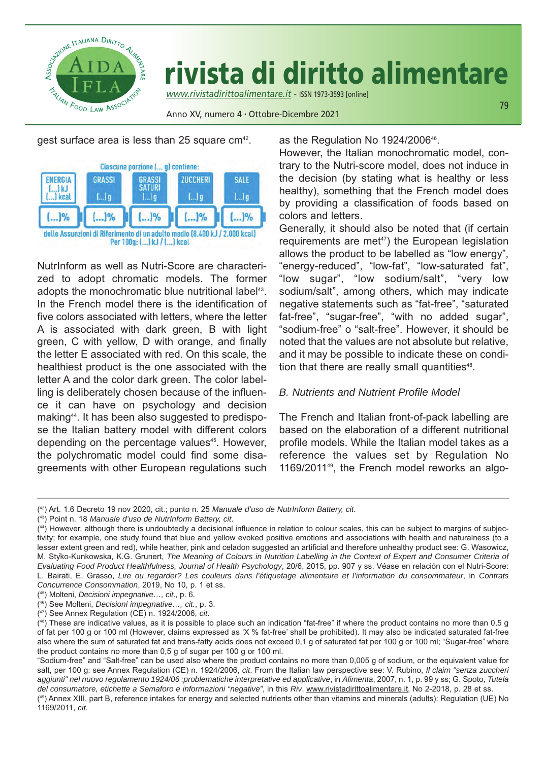

Anno XV, numero 4 • Ottobre-Dicembre 2021

79

gest surface area is less than 25 square  $cm<sup>42</sup>$ .



NutrInform as well as Nutri-Score are characterized to adopt chromatic models. The former adopts the monochromatic blue nutritional label<sup>43</sup>. In the French model there is the identification of five colors associated with letters, where the letter A is associated with dark green, B with light green, C with yellow, D with orange, and finally the letter E associated with red. On this scale, the healthiest product is the one associated with the letter A and the color dark green. The color labelling is deliberately chosen because of the influence it can have on psychology and decision making44. It has been also suggested to predispose the Italian battery model with different colors depending on the percentage values<sup>45</sup>. However, the polychromatic model could find some disagreements with other European regulations such

as the Regulation No 1924/2006<sup>46</sup>.

However, the Italian monochromatic model, contrary to the Nutri-score model, does not induce in the decision (by stating what is healthy or less healthy), something that the French model does by providing a classification of foods based on colors and letters.

Generally, it should also be noted that (if certain requirements are met $47$ ) the European legislation allows the product to be labelled as "low energy", "energy-reduced", "low-fat", "low-saturated fat", "low sugar", "low sodium/salt", "very low sodium/salt", among others, which may indicate negative statements such as "fat-free", "saturated fat-free", "sugar-free", "with no added sugar", "sodium-free" o "salt-free". However, it should be noted that the values are not absolute but relative, and it may be possible to indicate these on condition that there are really small quantities $48$ .

### *B. Nutrients and Nutrient Profile Model*

The French and Italian front-of-pack labelling are based on the elaboration of a different nutritional profile models. While the Italian model takes as a reference the values set by Regulation No 1169/201149, the French model reworks an algo-

<sup>(</sup> 42) Art. 1.6 Decreto 19 nov 2020, cit.; punto n. 25 *Manuale d'uso de NutrInform Battery, cit*.

<sup>(</sup> 43) Point n. 18 *Manuale d'uso de NutrInform Battery, cit*.

<sup>(</sup> 44) However, although there is undoubtedly a decisional influence in relation to colour scales, this can be subject to margins of subjectivity; for example, one study found that blue and yellow evoked positive emotions and associations with health and naturalness (to a lesser extent green and red), while heather, pink and celadon suggested an artificial and therefore unhealthy product see: g. Wasowicz, M. Stÿko-Kunkowska, K.g. grunert, *The Meaning of Colours in Nutrition Labelling in the Context of Expert and Consumer Criteria of Evaluating Food Product Healthfulness, Journal of Health Psychology*, 20/6, 2015, pp. 907 y ss. véase en relación con el Nutri-Score: L. Bairati, E. grasso, *Lire ou regarder? Les couleurs dans l'étiquetage alimentaire et l'information du consommateur*, in *Contrats Concurrence Consommation*, 2019, No 10, p. 1 et ss.

<sup>(</sup> 45) Molteni, *Decisioni impegnative…, cit*., p. 6.

<sup>(</sup> 46) See Molteni, *Decisioni impegnative…, cit.*, p. 3.

<sup>(</sup> 47) See Annex Regulation (CE) n. 1924/2006, *cit*.

<sup>(</sup> 48) These are indicative values, as it is possible to place such an indication "fat-free" if where the product contains no more than 0,5 g of fat per 100 g or 100 ml (However, claims expressed as 'X % fat-free' shall be prohibited). It may also be indicated saturated fat-free also where the sum of saturated fat and trans-fatty acids does not exceed 0.1 g of saturated fat per 100 g or 100 ml; "Sugar-free" where the product contains no more than 0,5 g of sugar per 100 g or 100 ml.

<sup>&</sup>quot;Sodium-free" and "Salt-free" can be used also where the product contains no more than 0,005 g of sodium, or the equivalent value for salt, per 100 g: see Annex Regulation (CE) n. 1924/2006, *cit*. From the Italian law perspective see: v. Rubino, *Il claim "senza zuccheri aggiunti" nel nuovo regolamento 1924/06 :problematiche interpretative ed applicative*, in *Alimenta*, 2007, n. 1, p. 99 y ss; g. Spoto, *Tutela del consumatore, etichette a Semaforo e informazioni "negative"*, in this *Riv*. www.rivistadirittoalimentare.it, No 2-2018, p. 28 et ss.

<sup>(</sup> 49) Annex XIII, part B, reference intakes for energy and selected nutrients other than vitamins and minerals (adults): Regulation (UE) No 1169/2011, *cit*.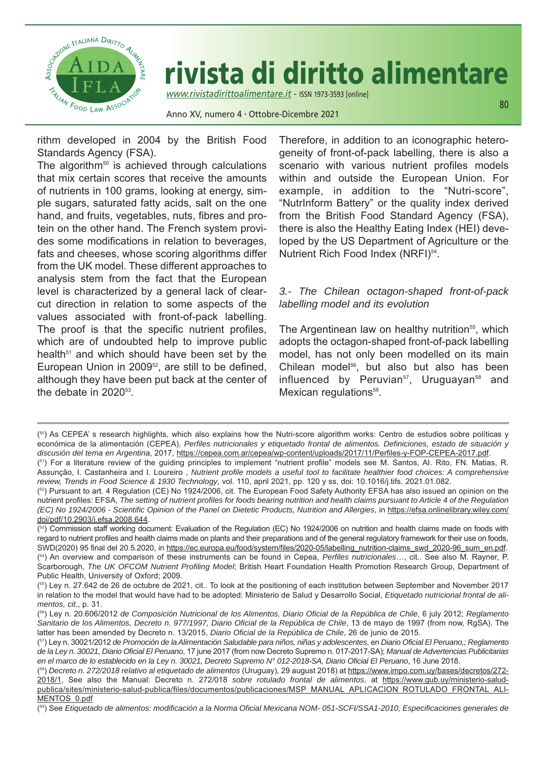

*www.rivistadirittoalimentare.it -* ISSN 1973-3593 [online]

Anno XV, numero 4 • Ottobre-Dicembre 2021

rithm developed in 2004 by the British Food Standards Agency (FSA).

The algorithm $50$  is achieved through calculations that mix certain scores that receive the amounts of nutrients in 100 grams, looking at energy, simple sugars, saturated fatty acids, salt on the one hand, and fruits, vegetables, nuts, fibres and protein on the other hand. The French system provides some modifications in relation to beverages, fats and cheeses, whose scoring algorithms differ from the UK model. These different approaches to analysis stem from the fact that the European level is characterized by a general lack of clearcut direction in relation to some aspects of the values associated with front-of-pack labelling. The proof is that the specific nutrient profiles, which are of undoubted help to improve public health $51$  and which should have been set by the European Union in 2009<sup>52</sup>, are still to be defined, although they have been put back at the center of the debate in 2020<sup>53</sup>.

Therefore, in addition to an iconographic heterogeneity of front-of-pack labelling, there is also a scenario with various nutrient profiles models within and outside the European Union. For example, in addition to the "Nutri-score", "NutrInform Battery" or the quality index derived from the British Food Standard Agency (FSA), there is also the Healthy Eating Index (HEI) developed by the US Department of Agriculture or the Nutrient Rich Food Index (NRFI)<sup>54</sup>.

#### *3.- The Chilean octagon-shaped front-of-pack labelling model and its evolution*

The Argentinean law on healthy nutrition<sup>55</sup>, which adopts the octagon-shaped front-of-pack labelling model, has not only been modelled on its main Chilean model<sup>56</sup>, but also but also has been influenced by Peruvian $57$ , Uruguayan $58$  and Mexican regulations<sup>59</sup>.

<sup>(</sup> 50) As CEPEA' s research highlights, which also explains how the Nutri-score algorithm works: Centro de estudios sobre políticas y económica de la alimentación (CEPEA), *Perfiles nutricionales y etiquetado frontal de alimentos. Definiciones, estado de situación y discusión del tema en Argentina*, 2017, https://cepea.com.ar/cepea/wp-content/uploads/2017/11/Perfiles-y-FOP-CEPEA-2017.pdf.

<sup>(</sup> 51) For a literature review of the guiding principles to implement "nutrient profile" models see M. Santos, AI. Rito, FN. Matias, R. Assunção, I. Castanheira and I. Loureiro , *Nutrient profile models a useful tool to facilitate healthier food choices: A comprehensive review, Trends in Food Science & 1930 Technology*, vol. 110, april 2021, pp. 120 y ss, doi: 10.1016/j.tifs. 2021.01.082.

<sup>(</sup> 52) Pursuant to art. 4 Regulation (CE) No 1924/2006, cit. The European Food Safety Authority EFSA has also issued an opinion on the nutrient profiles: EFSA, *The setting of nutrient profiles for foods bearing nutrition and health claims pursuant to Article 4 of the Regulation (EC) No 1924/2006 - Scientific Opinion of the Panel on Dietetic Products, Nutrition and Allergies*, in https://efsa.onlinelibrary.wiley.com/ doi/pdf/10.2903/j.efsa.2008.644.

<sup>(</sup> 53) Commission staff working document: Evaluation of the Regulation (EC) No 1924/2006 on nutrition and health claims made on foods with regard to nutrient profiles and health claims made on plants and their preparations and of the general regulatory framework for their use on foods, SWD(2020) 95 final del 20.5.2020, in https://ec.europa.eu/food/system/files/2020-05/labelling\_nutrition-claims\_swd\_2020-96\_sum\_en.pdf. ( 54) An overview and comparison of these instruments can be found in Cepea, *Perfiles nutricionales*…, cit.. See also M. Rayner, P. Scarborough, *The UK OFCOM Nutrient Profiling Model*; British Heart Foundation Health Promotion Research group, Department of Public Health, University of Oxford; 2009.

<sup>(</sup> 55) Ley n. 27.642 de 26 de octubre de 2021, cit.. To look at the positioning of each institution between September and November 2017 in relation to the model that would have had to be adopted: Ministerio de Salud y Desarrollo Social, *Etiquetado nutricional frontal de alimentos, cit*., p. 31.

<sup>(</sup> 56) Ley n. 20.606/2012 *de Composición Nutricional de los Alimentos, Diario Oficial de la República de Chile*, 6 july 2012; *Reglamento Sanitario de los Alimentos, Decreto n. 977/1997, Diario Oficial de la República de Chile*, 13 de mayo de 1997 (from now, RgSA). The latter has been amended by Decreto n. 13/2015, *Diario Oficial de la República de Chile*, 26 de junio de 2015.

<sup>(</sup> 57) Ley n. 30021/2012 *de Promoción de la Alimentación Saludable para niños, niñas y adolescentes*, en *Diario Oficial El Peruano,; Reglamento de la Ley n. 30021, Diario Oficial El Peruano*, 17 june 2017 (from now Decreto Supremo n. 017-2017-SA); *Manual de Advertencias Publicitarias en el marco de lo establecido en la Ley n. 30021, Decreto Supremo N° 012-2018-SA, Diario Oficial El Peruano*, 16 june 2018.

<sup>(</sup> 58) *Decreto n. 272/2018 relativo al etiquetado de alimentos* (Uruguay), 29 august 2018) at https://www.impo.com.uy/bases/decretos/272- 2018/1, See also the Manual: Decreto n. 272/018 *sobre rotulado frontal de alimentos*, at https://www.gub.uy/ministerio-saludpublica/sites/ministerio-salud-publica/files/documentos/publicaciones/MSP\_MANUAL\_APLICACION\_ROTULADO\_FRONTAL\_ALI-MENTOS 0.pdf

<sup>(</sup> 59) See *Etiquetado de alimentos: modificación a la Norma Oficial Mexicana NOM- 051-SCFI/SSA1-2010, Especificaciones generales de*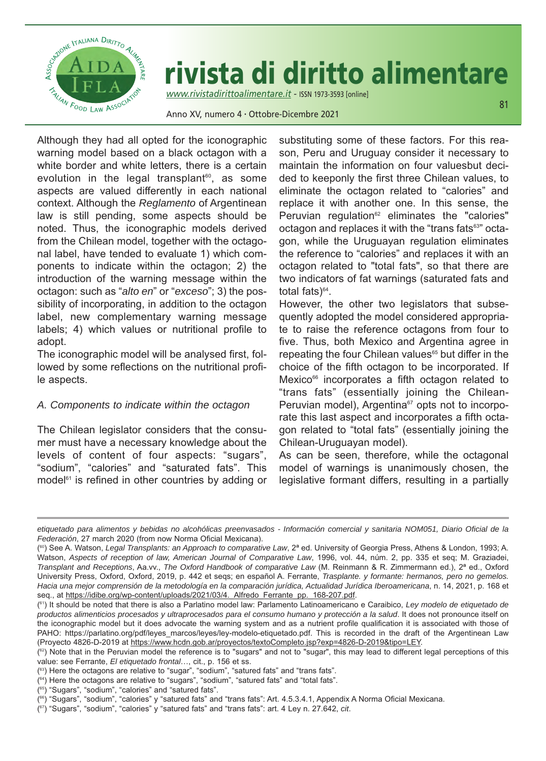

*www.rivistadirittoalimentare.it -* ISSN 1973-3593 [online]

Anno XV, numero 4 • Ottobre-Dicembre 2021

Although they had all opted for the iconographic warning model based on a black octagon with a white border and white letters, there is a certain evolution in the legal transplant<sup>60</sup>, as some aspects are valued differently in each national context. Although the *Reglamento* of Argentinean law is still pending, some aspects should be noted. Thus, the iconographic models derived from the Chilean model, together with the octagonal label, have tended to evaluate 1) which components to indicate within the octagon; 2) the introduction of the warning message within the octagon: such as "*alto en*" or "*exceso*"; 3) the possibility of incorporating, in addition to the octagon label, new complementary warning message labels; 4) which values or nutritional profile to adopt.

The iconographic model will be analysed first, followed by some reflections on the nutritional profile aspects.

#### *A. Components to indicate within the octagon*

The Chilean legislator considers that the consumer must have a necessary knowledge about the levels of content of four aspects: "sugars", "sodium", "calories" and "saturated fats". This model $61$  is refined in other countries by adding or substituting some of these factors. For this reason, Peru and Uruguay consider it necessary to maintain the information on four valuesbut decided to keeponly the first three Chilean values, to eliminate the octagon related to "calories" and replace it with another one. In this sense, the Peruvian regulation $62$  eliminates the "calories" octagon and replaces it with the "trans fats<sup>63"</sup> octagon, while the Uruguayan regulation eliminates the reference to "calories" and replaces it with an octagon related to "total fats", so that there are two indicators of fat warnings (saturated fats and total fats $)^{64}$ .

81

However, the other two legislators that subsequently adopted the model considered appropriate to raise the reference octagons from four to five. Thus, both Mexico and Argentina agree in repeating the four Chilean values<sup>65</sup> but differ in the choice of the fifth octagon to be incorporated. If Mexico<sup>66</sup> incorporates a fifth octagon related to "trans fats" (essentially joining the Chilean-Peruvian model), Argentina<sup>67</sup> opts not to incorporate this last aspect and incorporates a fifth octagon related to "total fats" (essentially joining the Chilean-Uruguayan model).

As can be seen, therefore, while the octagonal model of warnings is unanimously chosen, the legislative formant differs, resulting in a partially

( 65) "Sugars", "sodium", "calories" and "satured fats".

*etiquetado para alimentos y bebidas no alcohólicas preenvasados - Información comercial y sanitaria NOM051, Diario Oficial de la Federación*, 27 march 2020 (from now Norma Oficial Mexicana).

<sup>(</sup> 60) See A. Watson, *Legal Transplants: an Approach to comparative Law*, 2ª ed. University of georgia Press, Athens & London, 1993; A. Watson, *Aspects of reception of law, American Journal of Comparative Law*, 1996, vol. 44, núm. 2, pp. 335 et seq; M. graziadei, *Transplant and Receptions*, Aa.vv., *The Oxford Handbook of comparative Law* (M. Reinmann & R. Zimmermann ed.), 2ª ed., Oxford University Press, Oxford, Oxford, 2019, p. 442 et seqs; en español A. Ferrante, *Trasplante. y formante: hermanos, pero no gemelos. Hacia una mejor comprensión de la metodología en la comparación jurídica, Actualidad Jurídica Iberoamericana*, n. 14, 2021, p. 168 et seq., at https://idibe.org/wp-content/uploads/2021/03/4. Alfredo Ferrante pp. 168-207.pdf.

<sup>(</sup> 61) It should be noted that there is also a Parlatino model law: Parlamento Latinoamericano e Caraibico, *Ley modelo de etiquetado de productos alimenticios procesados y ultraprocesados para el consumo humano y protección a la salud*. It does not pronounce itself on the iconographic model but it does advocate the warning system and as a nutrient profile qualification it is associated with those of PAHO: https://parlatino.org/pdf/leyes\_marcos/leyes/ley-modelo-etiquetado.pdf. This is recorded in the draft of the Argentinean Law (Proyecto 4826-D-2019 at https://www.hcdn.gob.ar/proyectos/textoCompleto.jsp?exp=4826-D-2019&tipo=LEY.

 $($ <sup>e2</sup>) Note that in the Peruvian model the reference is to "sugars" and not to "sugar", this may lead to different legal perceptions of this value: see Ferrante, *El etiquetado frontal*…, cit., p. 156 et ss.

<sup>(</sup> 63) Here the octagons are relative to "sugar", "sodium", "satured fats" and "trans fats".

<sup>(</sup> 64) Here the octagons are relative to "sugars", "sodium", "satured fats" and "total fats".

<sup>(</sup> 66) "Sugars", "sodium", "calories" y "satured fats" and "trans fats": Art. 4.5.3.4.1, Appendix A Norma Oficial Mexicana.

<sup>(</sup> 67) "Sugars", "sodium", "calories" y "satured fats" and "trans fats": art. 4 Ley n. 27.642, *cit*.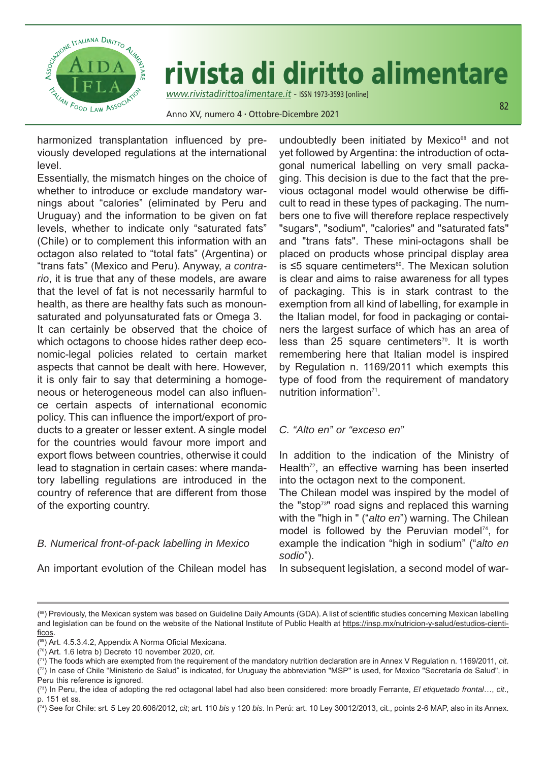

Anno XV, numero 4 • Ottobre-Dicembre 2021

harmonized transplantation influenced by previously developed regulations at the international level.

Essentially, the mismatch hinges on the choice of whether to introduce or exclude mandatory warnings about "calories" (eliminated by Peru and Uruguay) and the information to be given on fat levels, whether to indicate only "saturated fats" (Chile) or to complement this information with an octagon also related to "total fats" (Argentina) or "trans fats" (Mexico and Peru). Anyway, *a contrario*, it is true that any of these models, are aware that the level of fat is not necessarily harmful to health, as there are healthy fats such as monounsaturated and polyunsaturated fats or Omega 3.

It can certainly be observed that the choice of which octagons to choose hides rather deep economic-legal policies related to certain market aspects that cannot be dealt with here. However, it is only fair to say that determining a homogeneous or heterogeneous model can also influence certain aspects of international economic policy. This can influence the import/export of products to a greater or lesser extent. A single model for the countries would favour more import and export flows between countries, otherwise it could lead to stagnation in certain cases: where mandatory labelling regulations are introduced in the country of reference that are different from those of the exporting country.

### *B. Numerical front-of-pack labelling in Mexico*

An important evolution of the Chilean model has

undoubtedly been initiated by Mexico $68$  and not yet followed by Argentina: the introduction of octagonal numerical labelling on very small packaging. This decision is due to the fact that the previous octagonal model would otherwise be difficult to read in these types of packaging. The numbers one to five will therefore replace respectively "sugars", "sodium", "calories" and "saturated fats" and "trans fats". These mini-octagons shall be placed on products whose principal display area is  $≤5$  square centimeters<sup>69</sup>. The Mexican solution is clear and aims to raise awareness for all types of packaging. This is in stark contrast to the exemption from all kind of labelling, for example in the Italian model, for food in packaging or containers the largest surface of which has an area of less than 25 square centimeters<sup>70</sup>. It is worth remembering here that Italian model is inspired by Regulation n. 1169/2011 which exempts this type of food from the requirement of mandatory nutrition information<sup>71</sup>.

## *C. "Alto en" or "exceso en"*

In addition to the indication of the Ministry of Health<sup> $72$ </sup>, an effective warning has been inserted into the octagon next to the component.

The Chilean model was inspired by the model of the "stop<sup>73"</sup> road signs and replaced this warning with the "high in " ("*alto en*") warning. The Chilean model is followed by the Peruvian model<sup>74</sup>, for example the indication "high in sodium" ("*alto en sodio*").

In subsequent legislation, a second model of war-

<sup>(</sup> 68) Previously, the Mexican system was based on guideline Daily Amounts (gDA). A list of scientific studies concerning Mexican labelling and legislation can be found on the website of the National Institute of Public Health at https://insp.mx/nutricion-y-salud/estudios-cientificos.

<sup>(</sup> 69) Art. 4.5.3.4.2, Appendix A Norma Oficial Mexicana.

<sup>(</sup> 70) Art. 1.6 letra b) Decreto 10 november 2020, *cit*.

<sup>(</sup> 71) The foods which are exempted from the requirement of the mandatory nutrition declaration are in Annex v Regulation n. 1169/2011, *cit*.  $\sp{(^{72})}$  In case of Chile "Ministerio de Salud" is indicated, for Uruguay the abbreviation "MSP" is used, for Mexico "Secretaría de Salud", in Peru this reference is ignored.

<sup>(</sup> 73) In Peru, the idea of adopting the red octagonal label had also been considered: more broadly Ferrante, *El etiquetado frontal*…, *cit*., p. 151 et ss.

<sup>(</sup> 74) See for Chile: srt. 5 Ley 20.606/2012, *cit*; art. 110 *bis* y 120 *bis*. In Perú: art. 10 Ley 30012/2013, cit., points 2-6 MAP, also in its Annex.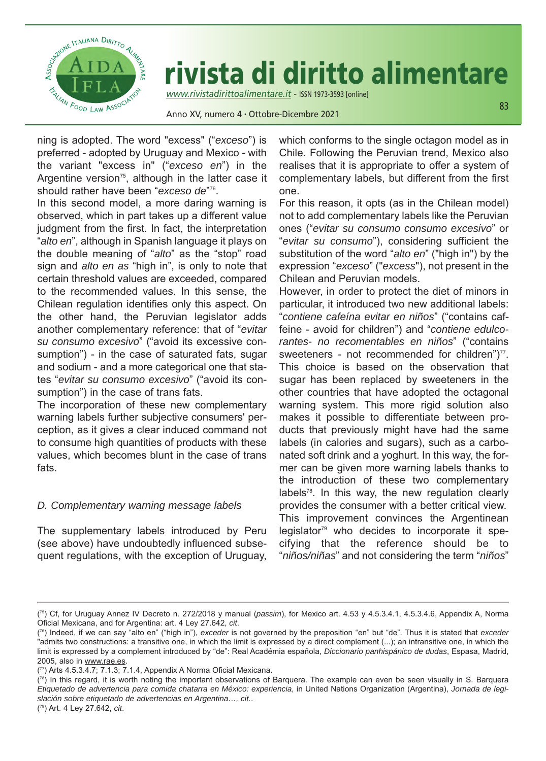

*www.rivistadirittoalimentare.it -* ISSN 1973-3593 [online]

Anno XV, numero 4 • Ottobre-Dicembre 2021

ning is adopted. The word "excess" ("*exceso*") is preferred - adopted by Uruguay and Mexico - with the variant "excess in" ("*exceso en*") in the Argentine version<sup> $75$ </sup>, although in the latter case it should rather have been "*exceso de*" 76.

In this second model, a more daring warning is observed, which in part takes up a different value judgment from the first. In fact, the interpretation "*alto en*", although in Spanish language it plays on the double meaning of "*alto*" as the "stop" road sign and *alto en as* "high in", is only to note that certain threshold values are exceeded, compared to the recommended values. In this sense, the Chilean regulation identifies only this aspect. On the other hand, the Peruvian legislator adds another complementary reference: that of "*evitar su consumo excesivo*" ("avoid its excessive consumption") - in the case of saturated fats, sugar and sodium - and a more categorical one that states "*evitar su consumo excesivo*" ("avoid its consumption") in the case of trans fats.

The incorporation of these new complementary warning labels further subjective consumers' perception, as it gives a clear induced command not to consume high quantities of products with these values, which becomes blunt in the case of trans fats.

### *D. Complementary warning message labels*

The supplementary labels introduced by Peru (see above) have undoubtedly influenced subsequent regulations, with the exception of Uruguay, which conforms to the single octagon model as in Chile. Following the Peruvian trend, Mexico also realises that it is appropriate to offer a system of complementary labels, but different from the first one.

83

For this reason, it opts (as in the Chilean model) not to add complementary labels like the Peruvian ones ("*evitar su consumo consumo excesivo*" or "*evitar su consumo*"), considering sufficient the substitution of the word "*alto en*" ("high in") by the expression "*exceso*" ("*excess*"), not present in the Chilean and Peruvian models.

However, in order to protect the diet of minors in particular, it introduced two new additional labels: "*contiene cafeína evitar en niños*" ("contains caffeine - avoid for children") and "*contiene edulcorantes- no recomentables en niños*" ("contains sweeteners - not recommended for children" $Y^7$ . This choice is based on the observation that sugar has been replaced by sweeteners in the other countries that have adopted the octagonal warning system. This more rigid solution also makes it possible to differentiate between products that previously might have had the same labels (in calories and sugars), such as a carbonated soft drink and a yoghurt. In this way, the former can be given more warning labels thanks to the introduction of these two complementary labels<sup>78</sup>. In this way, the new regulation clearly provides the consumer with a better critical view. This improvement convinces the Argentinean legislator<sup>79</sup> who decides to incorporate it specifying that the reference should be to "*niños/niñas*" and not considering the term "*niños*"

<sup>(</sup> 75) Cf, for Uruguay Annez Iv Decreto n. 272/2018 y manual (*passim*), for Mexico art. 4.53 y 4.5.3.4.1, 4.5.3.4.6, Appendix A, Norma Oficial Mexicana, and for Argentina: art. 4 Ley 27.642, *cit*.

<sup>(</sup> 76) Indeed, if we can say "alto en" ("high in"), *exceder* is not governed by the preposition "en" but "de". Thus it is stated that *exceder* "admits two constructions: a transitive one, in which the limit is expressed by a direct complement (...); an intransitive one, in which the limit is expressed by a complement introduced by "de": Real Académia española, *Diccionario panhispánico de dudas*, Espasa, Madrid, 2005, also in www.rae.es.

<sup>(</sup> 77) Arts 4.5.3.4.7; 7.1.3; 7.1.4, Appendix A Norma Oficial Mexicana.

<sup>(&</sup>lt;sup>78</sup>) In this regard, it is worth noting the important observations of Barquera. The example can even be seen visually in S. Barquera *Etiquetado de advertencia para comida chatarra en México: experiencia*, in United Nations Organization (Argentina), *Jornada de legislación sobre etiquetado de advertencias en Argentina…, cit.*. ( 79) Art. 4 Ley 27.642, *cit*.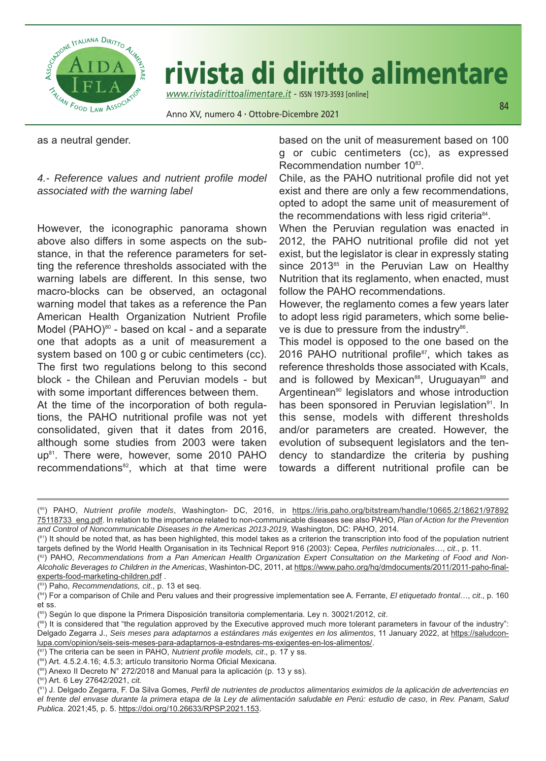

Anno XV, numero 4 • Ottobre-Dicembre 2021

84

as a neutral gender.

### *4.- Reference values and nutrient profile model associated with the warning label*

However, the iconographic panorama shown above also differs in some aspects on the substance, in that the reference parameters for setting the reference thresholds associated with the warning labels are different. In this sense, two macro-blocks can be observed, an octagonal warning model that takes as a reference the Pan American Health Organization Nutrient Profile Model (PAHO) $80 -$  based on kcal - and a separate one that adopts as a unit of measurement a system based on 100 g or cubic centimeters (cc). The first two regulations belong to this second block - the Chilean and Peruvian models - but with some important differences between them.

At the time of the incorporation of both regulations, the PAHO nutritional profile was not yet consolidated, given that it dates from 2016, although some studies from 2003 were taken up<sup>81</sup>. There were, however, some 2010 PAHO recommendations $82$ , which at that time were

based on the unit of measurement based on 100 g or cubic centimeters (cc), as expressed Recommendation number 10<sup>83</sup>.

Chile, as the PAHO nutritional profile did not yet exist and there are only a few recommendations, opted to adopt the same unit of measurement of the recommendations with less rigid criteria<sup>84</sup>.

When the Peruvian regulation was enacted in 2012, the PAHO nutritional profile did not yet exist, but the legislator is clear in expressly stating since  $2013^{85}$  in the Peruvian Law on Healthy Nutrition that its reglamento, when enacted, must follow the PAHO recommendations.

However, the reglamento comes a few years later to adopt less rigid parameters, which some believe is due to pressure from the industry $86$ .

This model is opposed to the one based on the 2016 PAHO nutritional profile<sup>87</sup>, which takes as reference thresholds those associated with Kcals, and is followed by Mexican<sup>88</sup>, Uruguayan<sup>89</sup> and Argentinean<sup>90</sup> legislators and whose introduction has been sponsored in Peruvian legislation<sup>91</sup>. In this sense, models with different thresholds and/or parameters are created. However, the evolution of subsequent legislators and the tendency to standardize the criteria by pushing towards a different nutritional profile can be

( 83) Paho, *Recommendations, cit*., p. 13 et seq.

( 90) Art. 6 Ley 27642/2021, *cit.*

<sup>(</sup> 80) PAHO, *Nutrient profile models*, Washington- DC, 2016, in https://iris.paho.org/bitstream/handle/10665.2/18621/97892 75118733\_eng.pdf. In relation to the importance related to non-communicable diseases see also PAHO, *Plan of Action for the Prevention and Control of Noncommunicable Diseases in the Americas 2013-2019,* Washington, DC: PAHO, 2014*.*

<sup>(</sup> 81) It should be noted that, as has been highlighted, this model takes as a criterion the transcription into food of the population nutrient targets defined by the World Health Organisation in its Technical Report 916 (2003): Cepea, *Perfiles nutricionales*…, *cit*., p. 11.

<sup>(</sup> 82) PAHO, *Recommendations from a Pan American Health Organization Expert Consultation on the Marketing of Food and Non-Alcoholic Beverages to Children in the Americas*, Washinton-DC, 2011, at https://www.paho.org/hq/dmdocuments/2011/2011-paho-finalexperts-food-marketing-children.pdf .

<sup>(</sup> 84) For a comparison of Chile and Peru values and their progressive implementation see A. Ferrante, *El etiquetado frontal*…, *cit*., p. 160 et ss.

<sup>(</sup> 85) Según lo que dispone la Primera Disposición transitoria complementaria. Ley n. 30021/2012, *cit*.

<sup>(</sup> 86) It is considered that "the regulation approved by the Executive approved much more tolerant parameters in favour of the industry": Delgado Zegarra J., *Seis meses para adaptarnos a estándares más exigentes en los alimentos*, 11 January 2022, at https://saludconlupa.com/opinion/seis-seis-meses-para-adaptarnos-a-estndares-ms-exigentes-en-los-alimentos/.

<sup>(</sup> 87) The criteria can be seen in PAHO, *Nutrient profile models, cit*., p. 17 y ss.

<sup>(</sup> 88) Art. 4.5.2.4.16; 4.5.3; artículo transitorio Norma Oficial Mexicana.

<sup>(</sup> 89) Anexo II Decreto N° 272/2018 and Manual para la aplicación (p. 13 y ss).

<sup>(</sup> 91) j. Delgado Zegarra, F. Da Silva gomes, *Perfil de nutrientes de productos alimentarios eximidos de la aplicación de advertencias en el frente del envase durante la primera etapa de la Ley de alimentación saludable en Perú: estudio de caso*, in *Rev. Panam, Salud Publica*. 2021;45, p. 5. https://doi.org/10.26633/RPSP.2021.153.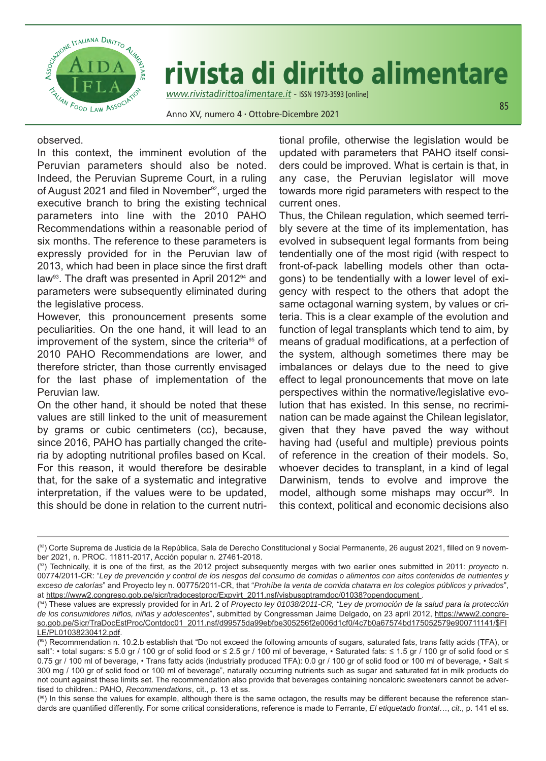

Anno XV, numero 4 • Ottobre-Dicembre 2021

observed.

In this context, the imminent evolution of the Peruvian parameters should also be noted. Indeed, the Peruvian Supreme Court, in a ruling of August 2021 and filed in November<sup>92</sup>, urged the executive branch to bring the existing technical parameters into line with the 2010 PAHO Recommendations within a reasonable period of six months. The reference to these parameters is expressly provided for in the Peruvian law of 2013, which had been in place since the first draft law<sup>93</sup>. The draft was presented in April 2012<sup>94</sup> and parameters were subsequently eliminated during the legislative process.

However, this pronouncement presents some peculiarities. On the one hand, it will lead to an improvement of the system, since the criteria<sup>95</sup> of 2010 PAHO Recommendations are lower, and therefore stricter, than those currently envisaged for the last phase of implementation of the Peruvian law.

On the other hand, it should be noted that these values are still linked to the unit of measurement by grams or cubic centimeters (cc), because, since 2016, PAHO has partially changed the criteria by adopting nutritional profiles based on Kcal. For this reason, it would therefore be desirable that, for the sake of a systematic and integrative interpretation, if the values were to be updated, this should be done in relation to the current nutritional profile, otherwise the legislation would be updated with parameters that PAHO itself considers could be improved. What is certain is that, in any case, the Peruvian legislator will move towards more rigid parameters with respect to the current ones.

Thus, the Chilean regulation, which seemed terribly severe at the time of its implementation, has evolved in subsequent legal formants from being tendentially one of the most rigid (with respect to front-of-pack labelling models other than octagons) to be tendentially with a lower level of exigency with respect to the others that adopt the same octagonal warning system, by values or criteria. This is a clear example of the evolution and function of legal transplants which tend to aim, by means of gradual modifications, at a perfection of the system, although sometimes there may be imbalances or delays due to the need to give effect to legal pronouncements that move on late perspectives within the normative/legislative evolution that has existed. In this sense, no recrimination can be made against the Chilean legislator, given that they have paved the way without having had (useful and multiple) previous points of reference in the creation of their models. So, whoever decides to transplant, in a kind of legal Darwinism, tends to evolve and improve the model, although some mishaps may occur<sup>96</sup>. In this context, political and economic decisions also

<sup>(</sup> 92) Corte Suprema de justicia de la República, Sala de Derecho Constitucional y Social Permanente, 26 august 2021, filled on 9 november 2021, n. PROC. 11811-2017, Acción popular n. 27461-2018.

<sup>(</sup> 93) Technically, it is one of the first, as the 2012 project subsequently merges with two earlier ones submitted in 2011: *proyecto* n. 00774/2011-CR: "*Ley de prevención y control de los riesgos del consumo de comidas o alimentos con altos contenidos de nutrientes y exceso de calorías*" and Proyecto ley n. 00775/2011-CR, that "*Prohíbe la venta de comida chatarra en los colegios públicos y privados*", at https://www2.congreso.gob.pe/sicr/tradocestproc/Expvirt\_2011.nsf/visbusqptramdoc/01038?opendocument .

<sup>(</sup> 94) These values are expressly provided for in Art. 2 of *Proyecto ley 01038/2011-CR, "Ley de promoción de la salud para la protección* de los consumidores niños, niñas y adolescentes", submitted by Congressman Jaime Delgado, on 23 april 2012, https://www2.congreso.gob.pe/Sicr/TraDocEstProc/Contdoc01\_2011.nsf/d99575da99ebfbe305256f2e006d1cf0/4c7b0a67574bd175052579e900711141/\$FI LE/PL01038230412.pdf.

<sup>(</sup> 95) Recommendation n. 10.2.b establish that "Do not exceed the following amounts of sugars, saturated fats, trans fatty acids (TFA), or salt": • total sugars: ≤ 5.0 gr / 100 gr of solid food or ≤ 2.5 gr / 100 ml of beverage, • Saturated fats: ≤ 1.5 gr / 100 gr of solid food or ≤ 0.75 gr / 100 ml of beverage, • Trans fatty acids (industrially produced TFA): 0.0 gr / 100 gr of solid food or 100 ml of beverage, • Salt ≤ 300 mg / 100 gr of solid food or 100 ml of beverage", naturally occurring nutrients such as sugar and saturated fat in milk products do not count against these limits set. The recommendation also provide that beverages containing noncaloric sweeteners cannot be advertised to children.: PAHO, *Recommendations*, cit., p. 13 et ss.

<sup>(&</sup>lt;sup>96</sup>) In this sense the values for example, although there is the same octagon, the results may be different because the reference standards are quantified differently. For some critical considerations, reference is made to Ferrante, *El etiquetado frontal*…, *cit*., p. 141 et ss.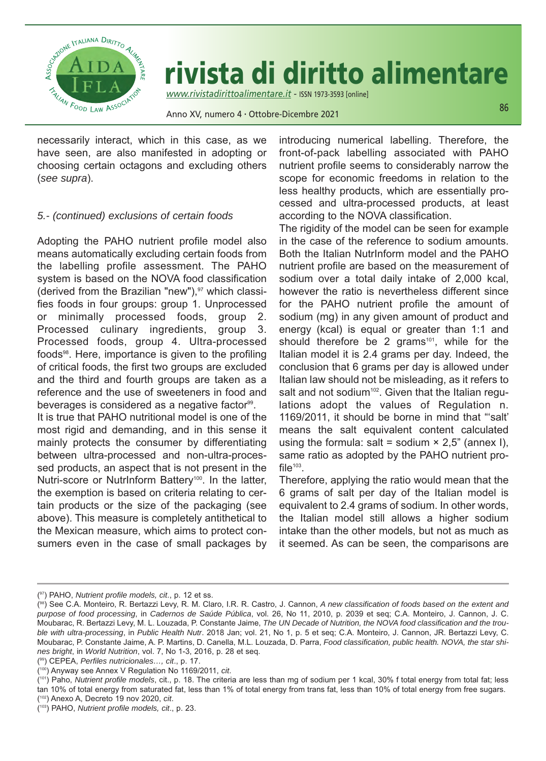

Anno XV, numero 4 • Ottobre-Dicembre 2021

86

necessarily interact, which in this case, as we have seen, are also manifested in adopting or choosing certain octagons and excluding others (*see supra*).

## *5.- (continued) exclusions of certain foods*

Adopting the PAHO nutrient profile model also means automatically excluding certain foods from the labelling profile assessment. The PAHO system is based on the NOvA food classification (derived from the Brazilian "new"), $97$  which classifies foods in four groups: group 1. Unprocessed or minimally processed foods, group 2. Processed culinary ingredients, group 3. Processed foods, group 4. Ultra-processed foods<sup>98</sup>. Here, importance is given to the profiling of critical foods, the first two groups are excluded and the third and fourth groups are taken as a reference and the use of sweeteners in food and beverages is considered as a negative factor<sup>99</sup>.

It is true that PAHO nutritional model is one of the most rigid and demanding, and in this sense it mainly protects the consumer by differentiating between ultra-processed and non-ultra-processed products, an aspect that is not present in the Nutri-score or NutrInform Battery<sup>100</sup>. In the latter, the exemption is based on criteria relating to certain products or the size of the packaging (see above). This measure is completely antithetical to the Mexican measure, which aims to protect consumers even in the case of small packages by

introducing numerical labelling. Therefore, the front-of-pack labelling associated with PAHO nutrient profile seems to considerably narrow the scope for economic freedoms in relation to the less healthy products, which are essentially processed and ultra-processed products, at least according to the NOvA classification.

The rigidity of the model can be seen for example in the case of the reference to sodium amounts. Both the Italian NutrInform model and the PAHO nutrient profile are based on the measurement of sodium over a total daily intake of 2,000 kcal, however the ratio is nevertheless different since for the PAHO nutrient profile the amount of sodium (mg) in any given amount of product and energy (kcal) is equal or greater than 1:1 and should therefore be 2 grams<sup>101</sup>, while for the Italian model it is 2.4 grams per day. Indeed, the conclusion that 6 grams per day is allowed under Italian law should not be misleading, as it refers to salt and not sodium<sup>102</sup>. Given that the Italian regulations adopt the values of Regulation n. 1169/2011, it should be borne in mind that "'salt' means the salt equivalent content calculated using the formula: salt = sodium  $\times$  2,5" (annex I), same ratio as adopted by the PAHO nutrient profile $103$ .

Therefore, applying the ratio would mean that the 6 grams of salt per day of the Italian model is equivalent to 2.4 grams of sodium. In other words, the Italian model still allows a higher sodium intake than the other models, but not as much as it seemed. As can be seen, the comparisons are

<sup>(</sup> 97) PAHO, *Nutrient profile models, cit*., p. 12 et ss.

<sup>(</sup> 98) See C.A. Monteiro, R. Bertazzi Levy, R. M. Claro, I.R. R. Castro, j. Cannon, *A new classification of foods based on the extent and purpose of food processing*, in *Cadernos de Saúde Pública*, vol. 26, No 11, 2010, p. 2039 et seq; C.A. Monteiro, j. Cannon, j. C. Moubarac, R. Bertazzi Levy, M. L. Louzada, P. Constante jaime, *The UN Decade of Nutrition, the NOVA food classification and the trouble with ultra-processing*, in *Public Health Nutr*. 2018 jan; vol. 21, No 1, p. 5 et seq; C.A. Monteiro, j. Cannon, jR. Bertazzi Levy, C. Moubarac, P. Constante jaime, A. P. Martins, D. Canella, M.L. Louzada, D. Parra, *Food classification, public health. NOVA, the star shines bright*, in *World Nutrition*, vol. 7, No 1-3, 2016, p. 28 et seq.

<sup>(</sup> 99) CEPEA, *Perfiles nutricionales…, cit*., p. 17.

<sup>(</sup> 100) Anyway see Annex v Regulation No 1169/2011, *cit*.

<sup>(</sup> 101) Paho, *Nutrient profile models*, cit., p. 18. The criteria are less than mg of sodium per 1 kcal, 30% f total energy from total fat; less tan 10% of total energy from saturated fat, less than 1% of total energy from trans fat, less than 10% of total energy from free sugars.

<sup>(</sup> 102) Anexo A, Decreto 19 nov 2020, *cit*.

<sup>(</sup> 103) PAHO, *Nutrient profile models, cit*., p. 23.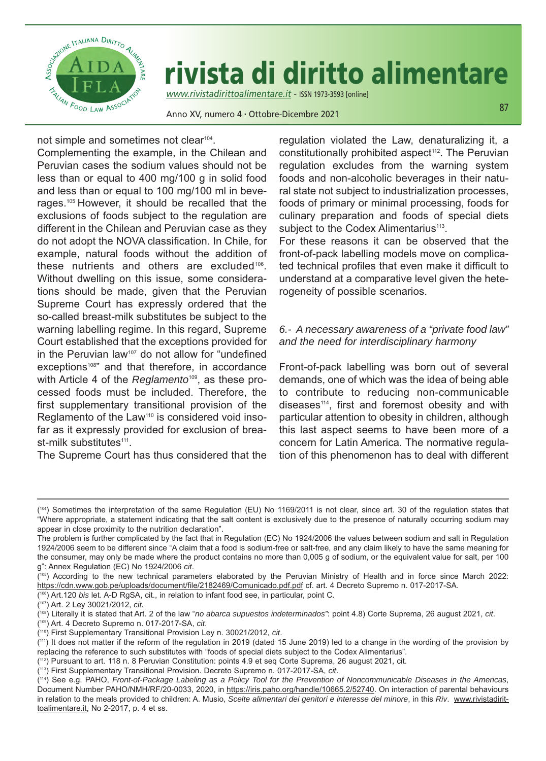

Anno XV, numero 4 • Ottobre-Dicembre 2021

not simple and sometimes not clear<sup>104</sup>.

Complementing the example, in the Chilean and Peruvian cases the sodium values should not be less than or equal to 400 mg/100 g in solid food and less than or equal to 100 mg/100 ml in beverages.105 However, it should be recalled that the exclusions of foods subject to the regulation are different in the Chilean and Peruvian case as they do not adopt the NOvA classification. In Chile, for example, natural foods without the addition of these nutrients and others are excluded<sup>106</sup>. Without dwelling on this issue, some considerations should be made, given that the Peruvian Supreme Court has expressly ordered that the so-called breast-milk substitutes be subject to the warning labelling regime. In this regard, Supreme Court established that the exceptions provided for in the Peruvian law<sup>107</sup> do not allow for "undefined exceptions<sup>108"</sup> and that therefore, in accordance with Article 4 of the *Reglamento<sup>109</sup>*, as these processed foods must be included. Therefore, the first supplementary transitional provision of the Reglamento of the Law<sup>110</sup> is considered void insofar as it expressly provided for exclusion of breast-milk substitutes<sup>111</sup>.

The Supreme Court has thus considered that the

regulation violated the Law, denaturalizing it, a constitutionally prohibited aspect<sup>112</sup>. The Peruvian regulation excludes from the warning system foods and non-alcoholic beverages in their natural state not subject to industrialization processes, foods of primary or minimal processing, foods for culinary preparation and foods of special diets subject to the Codex Alimentarius<sup>113</sup>.

For these reasons it can be observed that the front-of-pack labelling models move on complicated technical profiles that even make it difficult to understand at a comparative level given the heterogeneity of possible scenarios.

### *6.- A necessary awareness of a "private food law" and the need for interdisciplinary harmony*

Front-of-pack labelling was born out of several demands, one of which was the idea of being able to contribute to reducing non-communicable diseases<sup>114</sup>, first and foremost obesity and with particular attention to obesity in children, although this last aspect seems to have been more of a concern for Latin America. The normative regulation of this phenomenon has to deal with different

( 107) Art. 2 Ley 30021/2012, *cit.*

( 109) Art. 4 Decreto Supremo n. 017-2017-SA, *cit*.

<sup>(&</sup>lt;sup>104</sup>) Sometimes the interpretation of the same Regulation (EU) No 1169/2011 is not clear, since art. 30 of the regulation states that "Where appropriate, a statement indicating that the salt content is exclusively due to the presence of naturally occurring sodium may appear in close proximity to the nutrition declaration".

The problem is further complicated by the fact that in Regulation (EC) No 1924/2006 the values between sodium and salt in Regulation 1924/2006 seem to be different since "A claim that a food is sodium-free or salt-free, and any claim likely to have the same meaning for the consumer, may only be made where the product contains no more than 0,005 g of sodium, or the equivalent value for salt, per 100 g": Annex Regulation (EC) No 1924/2006 *cit*.

<sup>(&</sup>lt;sup>105</sup>) According to the new technical parameters elaborated by the Peruvian Ministry of Health and in force since March 2022: https://cdn.www.gob.pe/uploads/document/file/2182469/Comunicado.pdf.pdf cf. art. 4 Decreto Supremo n. 017-2017-SA. ( 106) Art.120 *bis* let. A-D RgSA, cit., in relation to infant food see, in particular, point C.

<sup>(</sup> 108) Literally it is stated that Art. 2 of the law "*no abarca supuestos indeterminados"*: point 4.8) Corte Suprema, 26 august 2021, *cit*.

<sup>(</sup> 110) First Supplementary Transitional Provision Ley n. 30021/2012, *cit*.

<sup>(</sup> 111) It does not matter if the reform of the regulation in 2019 (dated 15 june 2019) led to a change in the wording of the provision by replacing the reference to such substitutes with "foods of special diets subject to the Codex Alimentarius".

<sup>(</sup> 112) Pursuant to art. 118 n. 8 Peruvian Constitution: points 4.9 et seq Corte Suprema, 26 august 2021, cit.

<sup>(</sup> 113) First Supplementary Transitional Provision. Decreto Supremo n. 017-2017-SA, *cit*.

<sup>(</sup> 114) See e.g. PAHO, *Front-of-Package Labeling as a Policy Tool for the Prevention of Noncommunicable Diseases in the Americas*, Document Number PAHO/NMH/RF/20-0033, 2020, in https://iris.paho.org/handle/10665.2/52740</u>. On interaction of parental behaviours in relation to the meals provided to children: A. Musio, *Scelte alimentari dei genitori e interesse del minore*, in this *Riv*. www.rivistadirittoalimentare.it, No 2-2017, p. 4 et ss.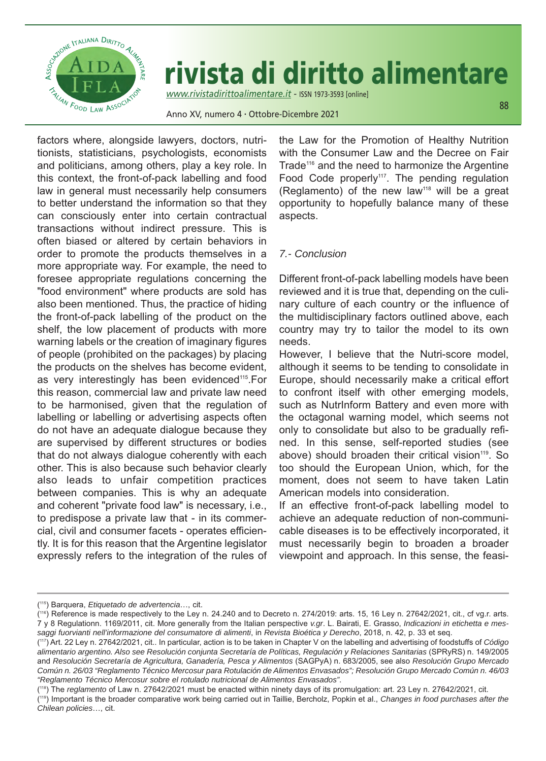

*www.rivistadirittoalimentare.it -* ISSN 1973-3593 [online]

Anno XV, numero 4 • Ottobre-Dicembre 2021

factors where, alongside lawyers, doctors, nutritionists, statisticians, psychologists, economists and politicians, among others, play a key role. In this context, the front-of-pack labelling and food law in general must necessarily help consumers to better understand the information so that they can consciously enter into certain contractual transactions without indirect pressure. This is often biased or altered by certain behaviors in order to promote the products themselves in a more appropriate way. For example, the need to foresee appropriate regulations concerning the "food environment" where products are sold has also been mentioned. Thus, the practice of hiding the front-of-pack labelling of the product on the shelf, the low placement of products with more warning labels or the creation of imaginary figures of people (prohibited on the packages) by placing the products on the shelves has become evident, as very interestingly has been evidenced<sup>115</sup>. For this reason, commercial law and private law need to be harmonised, given that the regulation of labelling or labelling or advertising aspects often do not have an adequate dialogue because they are supervised by different structures or bodies that do not always dialogue coherently with each other. This is also because such behavior clearly also leads to unfair competition practices between companies. This is why an adequate and coherent "private food law" is necessary, i.e., to predispose a private law that - in its commercial, civil and consumer facets - operates efficiently. It is for this reason that the Argentine legislator expressly refers to the integration of the rules of

the Law for the Promotion of Healthy Nutrition with the Consumer Law and the Decree on Fair Trade<sup>116</sup> and the need to harmonize the Argentine Food Code properly<sup>117</sup>. The pending regulation (Reglamento) of the new law<sup>118</sup> will be a great opportunity to hopefully balance many of these aspects.

#### *7.- Conclusion*

Different front-of-pack labelling models have been reviewed and it is true that, depending on the culinary culture of each country or the influence of the multidisciplinary factors outlined above, each country may try to tailor the model to its own needs.

However, I believe that the Nutri-score model, although it seems to be tending to consolidate in Europe, should necessarily make a critical effort to confront itself with other emerging models, such as NutrInform Battery and even more with the octagonal warning model, which seems not only to consolidate but also to be gradually refined. In this sense, self-reported studies (see above) should broaden their critical vision<sup>119</sup>. So too should the European Union, which, for the moment, does not seem to have taken Latin American models into consideration.

If an effective front-of-pack labelling model to achieve an adequate reduction of non-communicable diseases is to be effectively incorporated, it must necessarily begin to broaden a broader viewpoint and approach. In this sense, the feasi-

<sup>(</sup> 115) Barquera, *Etiquetado de advertencia*…, cit.

<sup>(</sup> 116) Reference is made respectively to the Ley n. 24.240 and to Decreto n. 274/2019: arts. 15, 16 Ley n. 27642/2021, cit., cf vg.r. arts. 7 y 8 Regulationn. 1169/2011, cit. More generally from the Italian perspective *v.gr*. L. Bairati, E. grasso, *Indicazioni in etichetta e messaggi fuorvianti nell'informazione del consumatore di alimenti*, in *Revista Bioética y Derecho*, 2018, n. 42, p. 33 et seq.

<sup>(</sup> 117) Art. 22 Ley n. 27642/2021, cit.. In particular, action is to be taken in Chapter v on the labelling and advertising of foodstuffs of *Código alimentario argentino. Also see Resolución conjunta Secretaría de Políticas, Regulación y Relaciones Sanitarias* (SPRyRS) n. 149/2005 and *Resolución Secretaría de Agricultura, Ganadería, Pesca y Alimentos* (SAgPyA) n. 683/2005, see also *Resolución Grupo Mercado Común n. 26/03 "Reglamento Técnico Mercosur para Rotulación de Alimentos Envasados"; Resolución Grupo Mercado Común n. 46/03 "Reglamento Técnico Mercosur sobre el rotulado nutricional de Alimentos Envasados"*.

<sup>(</sup> 118) The *reglamento* of Law n. 27642/2021 must be enacted within ninety days of its promulgation: art. 23 Ley n. 27642/2021, cit.

<sup>(</sup> 119) Important is the broader comparative work being carried out in Taillie, Bercholz, Popkin et al., *Changes in food purchases after the Chilean policies*…, cit.